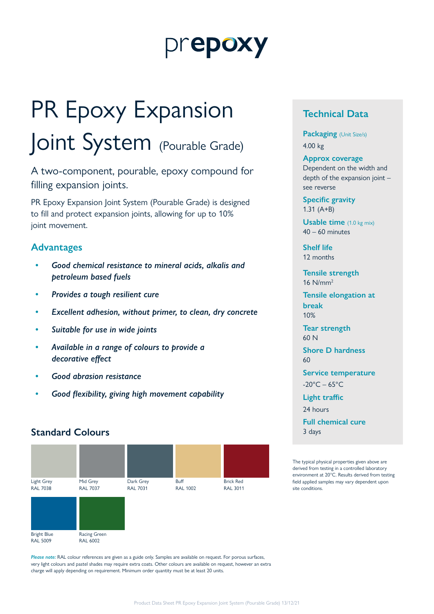# prepoxy

# PR Epoxy Expansion Joint System (Pourable Grade)

A two-component, pourable, epoxy compound for filling expansion joints.

PR Epoxy Expansion Joint System (Pourable Grade) is designed to fill and protect expansion joints, allowing for up to 10% joint movement.

# **Advantages**

- *• Good chemical resistance to mineral acids, alkalis and petroleum based fuels*
- *• Provides a tough resilient cure*
- *• Excellent adhesion, without primer, to clean, dry concrete*
- *• Suitable for use in wide joints*
- *• Available in a range of colours to provide a decorative effect*
- *• Good abrasion resistance*
- *• Good flexibility, giving high movement capability*

# **Standard Colours**



*Please note:* RAL colour references are given as a guide only. Samples are available on request. For porous surfaces, very light colours and pastel shades may require extra coats. Other colours are available on request, however an extra charge will apply depending on requirement. Minimum order quantity must be at least 20 units.

# **Technical Data**

**Packaging** (Unit Size/s) 4.00 kg

#### **Approx coverage**

Dependent on the width and depth of the expansion joint – see reverse

**Specific gravity** 1.31 (A+B)

**Usable time** (1.0 kg mix)  $40 - 60$  minutes

**Shelf life** 12 months

**Tensile strength** 16 N/mm2

**Tensile elongation at break** 10%

**Tear strength**  60 N

**Shore D hardness** 60

**Service temperature**  $-20^{\circ}$ C – 65 $^{\circ}$ C

**Light traffic**

24 hours

**Full chemical cure** 3 days

The typical physical properties given above are derived from testing in a controlled laboratory environment at 20°C. Results derived from testing field applied samples may vary dependent upon site conditions.